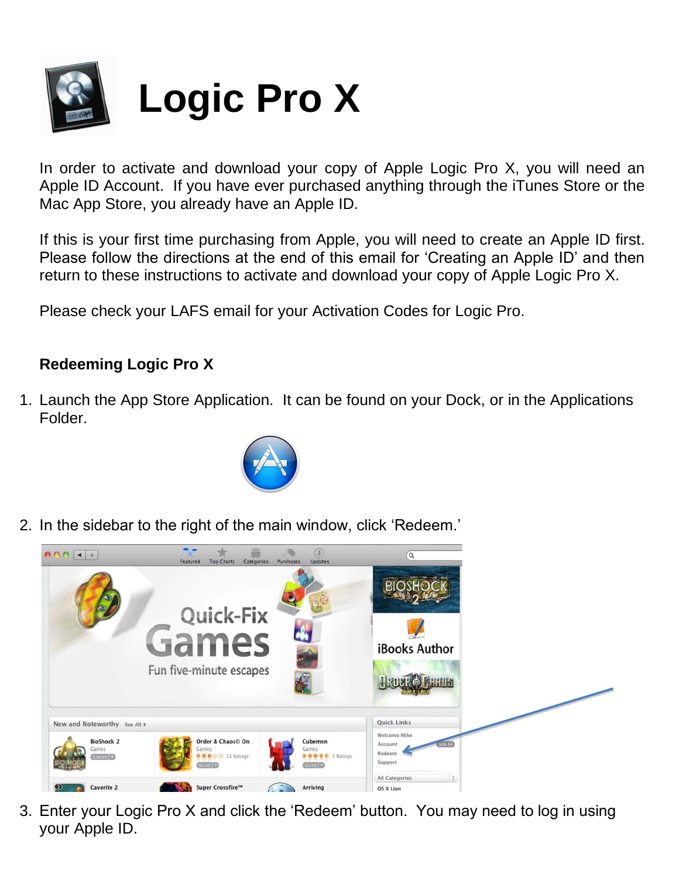

In order to activate and download your copy of Apple Logic Pro X, you will need an Apple ID Account. If you have ever purchased anything through the iTunes Store or the Mac App Store, you already have an Apple ID.

If this is your first time purchasing from Apple, you will need to create an Apple ID first. Please follow the directions at the end of this email for 'Creating an Apple ID' and then return to these instructions to activate and download your copy of Apple Logic Pro X.

Please check your LAFS email for your Activation Codes for Logic Pro.

## **Redeeming Logic Pro X**

1. Launch the App Store Application. It can be found on your Dock, or in the Applications Folder.



2. In the sidebar to the right of the main window, click 'Redeem.'



3. Enter your Logic Pro X and click the 'Redeem' button. You may need to log in using your Apple ID.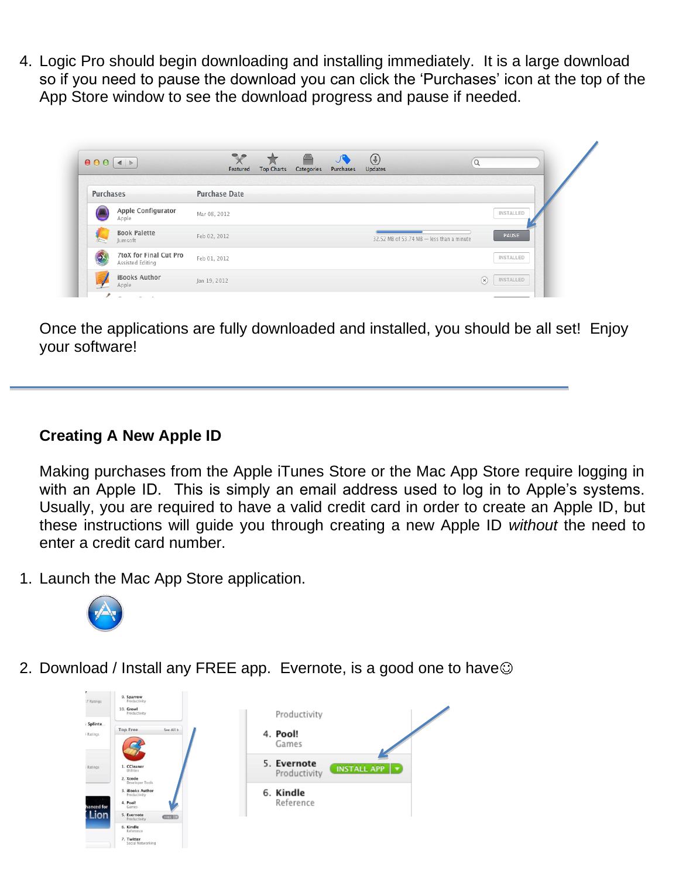4. Logic Pro should begin downloading and installing immediately. It is a large download so if you need to pause the download you can click the 'Purchases' icon at the top of the App Store window to see the download progress and pause if needed.

|           |                                            | <b>Top Charts</b><br>Categories<br>Purchases<br>Featured<br><b>Updates</b> |     |           |  |  |
|-----------|--------------------------------------------|----------------------------------------------------------------------------|-----|-----------|--|--|
| Purchases |                                            | <b>Purchase Date</b>                                                       |     |           |  |  |
|           | Apple Configurator<br>Apple                | Mar 08, 2012                                                               |     | INSTALLED |  |  |
|           | <b>Book Palette</b><br>Jumsoft             | Feb 02, 2012<br>32.52 MB of 53.74 MB - less than a minute                  |     | PAUSE     |  |  |
| -X        | 7toX for Final Cut Pro<br>Assisted Editing | Feb 01, 2012                                                               |     | INSTALLED |  |  |
|           | iBooks Author<br>Apple                     | Jan 19, 2012                                                               | (x) | INSTALLED |  |  |

Once the applications are fully downloaded and installed, you should be all set! Enjoy your software!

## **Creating A New Apple ID**

Making purchases from the Apple iTunes Store or the Mac App Store require logging in with an Apple ID. This is simply an email address used to log in to Apple's systems. Usually, you are required to have a valid credit card in order to create an Apple ID, but these instructions will guide you through creating a new Apple ID *without* the need to enter a credit card number.

1. Launch the Mac App Store application.



2. Download / Install any FREE app. Evernote, is a good one to have